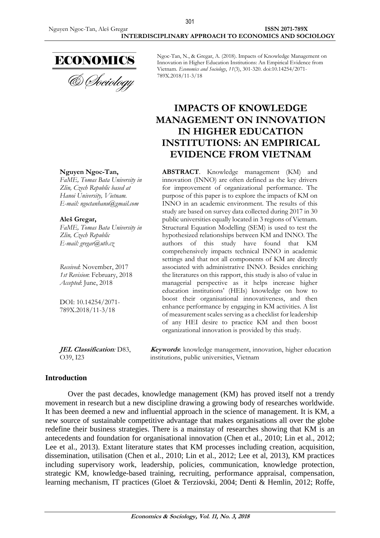

& *Cheiology* 

Ngoc-Tan, N., & Gregar, A. (2018). Impacts of Knowledge Management on Innovation in Higher Education Institutions: An Empirical Evidence from Vietnam. *Economics and Sociology*, *11*(3), 301-320. doi:10.14254/2071- 789X.2018/11-3/18

# **IMPACTS OF KNOWLEDGE MANAGEMENT ON INNOVATION IN HIGHER EDUCATION INSTITUTIONS: AN EMPIRICAL EVIDENCE FROM VIETNAM**

**ABSTRACT**. Knowledge management (KM) and innovation (INNO) are often defined as the key drivers for improvement of organizational performance. The purpose of this paper is to explore the impacts of KM on INNO in an academic environment. The results of this study are based on survey data collected during 2017 in 30 public universities equally located in 3 regions of Vietnam. Structural Equation Modelling (SEM) is used to test the hypothesized relationships between KM and INNO. The authors of this study have found that KM comprehensively impacts technical INNO in academic settings and that not all components of KM are directly associated with administrative INNO. Besides enriching the literatures on this rapport, this study is also of value in managerial perspective as it helps increase higher education institutions' (HEIs) knowledge on how to boost their organisational innovativeness, and then enhance performance by engaging in KM activities. A list of measurement scales serving as a checklist for leadership of any HEI desire to practice KM and then boost organizational innovation is provided by this study.

**Nguyen Ngoc-Tan,**

*FaME, Tomas Bata University in Zlin, Czech Republic based at Hanoi University, Vietnam. E-mail: ngoctanhanu@gmail.com*

**Aleš Gregar,**

*FaME, Tomas Bata University in Zlin, Czech Republic E-mail: gregar@utb.cz*

*Received*: November, 2017 *1st Revision*: February, 2018 *Accepted*: June, 2018

DOI: 10.14254/2071- 789X.2018/11-3/18

**JEL Classification***:* D83, O39, I23

**Keywords**: knowledge management, innovation, higher education institutions, public universities, Vietnam

### **Introduction**

Over the past decades, knowledge management (KM) has proved itself not a trendy movement in research but a new discipline drawing a growing body of researches worldwide. It has been deemed a new and influential approach in the science of management. It is KM, a new source of sustainable competitive advantage that makes organisations all over the globe redefine their business strategies. There is a mainstay of researches showing that KM is an antecedents and foundation for organisational innovation (Chen et al., 2010; Lin et al., 2012; Lee et al., 2013). Extant literature states that KM processes including creation, acquisition, dissemination, utilisation (Chen et al., 2010; Lin et al., 2012; Lee et al, 2013), KM practices including supervisory work, leadership, policies, communication, knowledge protection, strategic KM, knowledge-based training, recruiting, performance appraisal, compensation, learning mechanism, IT practices (Gloet & Terziovski, 2004; Denti & Hemlin, 2012; Roffe,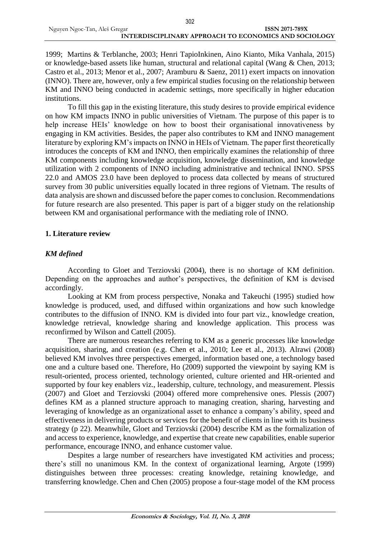|                              | JUZ                                                   |
|------------------------------|-------------------------------------------------------|
| Nguyen Ngoc-Tan, Aleš Gregar | ISSN 2071-789X                                        |
|                              | INTERDISCIPLINARY APPROACH TO ECONOMICS AND SOCIOLOGY |

302

1999; Martins & Terblanche, 2003; Henri TapioInkinen, Aino Kianto, Mika Vanhala, 2015) or knowledge-based assets like human, structural and relational capital (Wang & Chen, 2013; Castro et al., 2013; Menor et al., 2007; Aramburu & Saenz, 2011) exert impacts on innovation (INNO). There are, however, only a few empirical studies focusing on the relationship between KM and INNO being conducted in academic settings, more specifically in higher education institutions.

To fill this gap in the existing literature, this study desires to provide empirical evidence on how KM impacts INNO in public universities of Vietnam. The purpose of this paper is to help increase HEIs' knowledge on how to boost their organisational innovativeness by engaging in KM activities. Besides, the paper also contributes to KM and INNO management literature by exploring KM's impacts on INNO in HEIs of Vietnam. The paper first theoretically introduces the concepts of KM and INNO, then empirically examines the relationship of three KM components including knowledge acquisition, knowledge dissemination, and knowledge utilization with 2 components of INNO including administrative and technical INNO. SPSS 22.0 and AMOS 23.0 have been deployed to process data collected by means of structured survey from 30 public universities equally located in three regions of Vietnam. The results of data analysis are shown and discussed before the paper comes to conclusion. Recommendations for future research are also presented. This paper is part of a bigger study on the relationship between KM and organisational performance with the mediating role of INNO.

### **1. Literature review**

### *KM defined*

According to Gloet and Terziovski (2004), there is no shortage of KM definition. Depending on the approaches and author's perspectives, the definition of KM is devised accordingly.

Looking at KM from process perspective, Nonaka and Takeuchi (1995) studied how knowledge is produced, used, and diffused within organizations and how such knowledge contributes to the diffusion of INNO. KM is divided into four part viz., knowledge creation, knowledge retrieval, knowledge sharing and knowledge application. This process was reconfirmed by Wilson and Cattell (2005).

There are numerous researches referring to KM as a generic processes like knowledge acquisition, sharing, and creation (e.g. Chen et al., 2010; Lee et al., 2013). Alrawi (2008) believed KM involves three perspectives emerged, information based one, a technology based one and a culture based one. Therefore, Ho (2009) supported the viewpoint by saying KM is result-oriented, process oriented, technology oriented, culture oriented and HR-oriented and supported by four key enablers viz., leadership, culture, technology, and measurement. Plessis (2007) and Gloet and Terziovski (2004) offered more comprehensive ones. Plessis (2007) defines KM as a planned structure approach to managing creation, sharing, harvesting and leveraging of knowledge as an organizational asset to enhance a company's ability, speed and effectiveness in delivering products or services for the benefit of clients in line with its business strategy (p 22). Meanwhile, Gloet and Terziovski (2004) describe KM as the formalization of and access to experience, knowledge, and expertise that create new capabilities, enable superior performance, encourage INNO, and enhance customer value.

Despites a large number of researchers have investigated KM activities and process; there's still no unanimous KM. In the context of organizational learning, Argote (1999) distinguishes between three processes: creating knowledge, retaining knowledge, and transferring knowledge. Chen and Chen (2005) propose a four-stage model of the KM process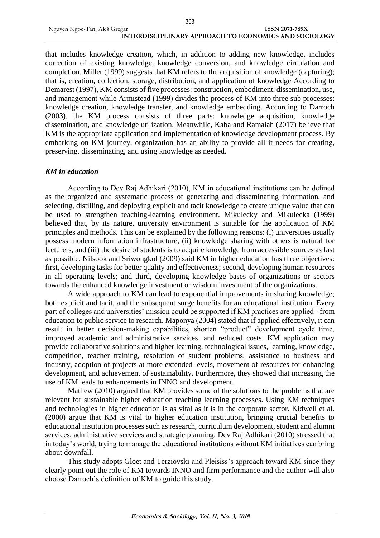|                              | υυu                                                   |
|------------------------------|-------------------------------------------------------|
| Nguyen Ngoc-Tan, Aleš Gregar | ISSN 2071-789X                                        |
|                              | INTERDISCIPLINARY APPROACH TO ECONOMICS AND SOCIOLOGY |

303

that includes knowledge creation, which, in addition to adding new knowledge, includes correction of existing knowledge, knowledge conversion, and knowledge circulation and completion. Miller (1999) suggests that KM refers to the acquisition of knowledge (capturing); that is, creation, collection, storage, distribution, and application of knowledge According to Demarest (1997), KM consists of five processes: construction, embodiment, dissemination, use, and management while Armistead (1999) divides the process of KM into three sub processes: knowledge creation, knowledge transfer, and knowledge embedding. According to Darroch (2003), the KM process consists of three parts: knowledge acquisition, knowledge dissemination, and knowledge utilization. Meanwhile, Kaba and Ramaiah (2017) believe that KM is the appropriate application and implementation of knowledge development process. By embarking on KM journey, organization has an ability to provide all it needs for creating, preserving, disseminating, and using knowledge as needed.

### *KM in education*

According to Dev Raj Adhikari (2010), KM in educational institutions can be defined as the organized and systematic process of generating and disseminating information, and selecting, distilling, and deploying explicit and tacit knowledge to create unique value that can be used to strengthen teaching-learning environment. Mikulecky and Mikulecka (1999) believed that, by its nature, university environment is suitable for the application of KM principles and methods. This can be explained by the following reasons: (i) universities usually possess modern information infrastructure, (ii) knowledge sharing with others is natural for lecturers, and (iii) the desire of students is to acquire knowledge from accessible sources as fast as possible. Nilsook and Sriwongkol (2009) said KM in higher education has three objectives: first, developing tasks for better quality and effectiveness; second, developing human resources in all operating levels; and third, developing knowledge bases of organizations or sectors towards the enhanced knowledge investment or wisdom investment of the organizations.

A wide approach to KM can lead to exponential improvements in sharing knowledge; both explicit and tacit, and the subsequent surge benefits for an educational institution. Every part of colleges and universities' mission could be supported if KM practices are applied - from education to public service to research. Maponya (2004) stated that if applied effectively, it can result in better decision-making capabilities, shorten "product" development cycle time, improved academic and administrative services, and reduced costs. KM application may provide collaborative solutions and higher learning, technological issues, learning, knowledge, competition, teacher training, resolution of student problems, assistance to business and industry, adoption of projects at more extended levels, movement of resources for enhancing development, and achievement of sustainability. Furthermore, they showed that increasing the use of KM leads to enhancements in INNO and development.

Mathew (2010) argued that KM provides some of the solutions to the problems that are relevant for sustainable higher education teaching learning processes. Using KM techniques and technologies in higher education is as vital as it is in the corporate sector. Kidwell et al. (2000) argue that KM is vital to higher education institution, bringing crucial benefits to educational institution processes such as research, curriculum development, student and alumni services, administrative services and strategic planning. Dev Raj Adhikari (2010) stressed that in today's world, trying to manage the educational institutions without KM initiatives can bring about downfall.

This study adopts Gloet and Terziovski and Pleisiss's approach toward KM since they clearly point out the role of KM towards INNO and firm performance and the author will also choose Darroch's definition of KM to guide this study.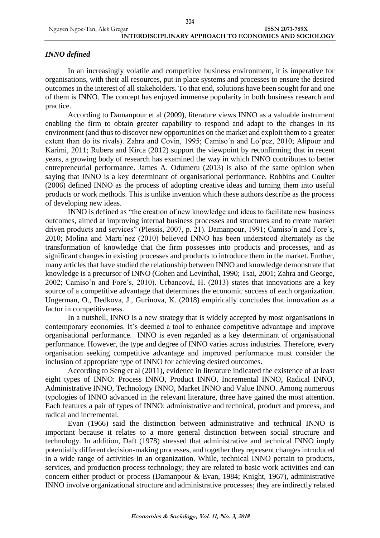## *INNO defined*

In an increasingly volatile and competitive business environment, it is imperative for organisations, with their all resources, put in place systems and processes to ensure the desired outcomes in the interest of all stakeholders. To that end, solutions have been sought for and one of them is INNO. The concept has enjoyed immense popularity in both business research and practice.

According to Damanpour et al (2009), literature views INNO as a valuable instrument enabling the firm to obtain greater capability to respond and adapt to the changes in its environment (and thus to discover new opportunities on the market and exploit them to a greater extent than do its rivals). Zahra and Covin, 1995; Camiso´n and Lo´pez, 2010; Alipour and Karimi, 2011; Rubera and Kirca (2012) support the viewpoint by reconfirming that in recent years, a growing body of research has examined the way in which INNO contributes to better entrepreneurial performance. James A. Odumeru (2013) is also of the same opinion when saying that INNO is a key determinant of organisational performance. Robbins and Coulter (2006) defined INNO as the process of adopting creative ideas and turning them into useful products or work methods. This is unlike invention which these authors describe as the process of developing new ideas.

INNO is defined as "the creation of new knowledge and ideas to facilitate new business outcomes, aimed at improving internal business processes and structures and to create market driven products and services" (Plessis, 2007, p. 21). Damanpour, 1991; Camiso´n and Fore´s, 2010; Molina and Martı´nez (2010) believed INNO has been understood alternately as the transformation of knowledge that the firm possesses into products and processes, and as significant changes in existing processes and products to introduce them in the market. Further, many articles that have studied the relationship between INNO and knowledge demonstrate that knowledge is a precursor of INNO (Cohen and Levinthal, 1990; Tsai, 2001; Zahra and George, 2002; Camiso´n and Fore´s, 2010). Urbancová, H. (2013) states that innovations are a key source of a competitive advantage that determines the economic success of each organization. Ungerman, O., Dedkova, J., Gurinova, K. (2018) empirically concludes that innovation as a factor in competitiveness.

In a nutshell, INNO is a new strategy that is widely accepted by most organisations in contemporary economies. It's deemed a tool to enhance competitive advantage and improve organisational performance. INNO is even regarded as a key determinant of organisational performance. However, the type and degree of INNO varies across industries. Therefore, every organisation seeking competitive advantage and improved performance must consider the inclusion of appropriate type of INNO for achieving desired outcomes.

According to Seng et al (2011), evidence in literature indicated the existence of at least eight types of INNO: Process INNO, Product INNO, Incremental INNO, Radical INNO, Administrative INNO, Technology INNO, Market INNO and Value INNO. Among numerous typologies of INNO advanced in the relevant literature, three have gained the most attention. Each features a pair of types of INNO: administrative and technical, product and process, and radical and incremental.

Evan (1966) said the distinction between administrative and technical INNO is important because it relates to a more general distinction between social structure and technology. In addition, Daft (1978) stressed that administrative and technical INNO imply potentially different decision-making processes, and together they represent changes introduced in a wide range of activities in an organization. While, technical INNO pertain to products, services, and production process technology; they are related to basic work activities and can concern either product or process (Damanpour & Evan, 1984; Knight, 1967), administrative INNO involve organizational structure and administrative processes; they are indirectly related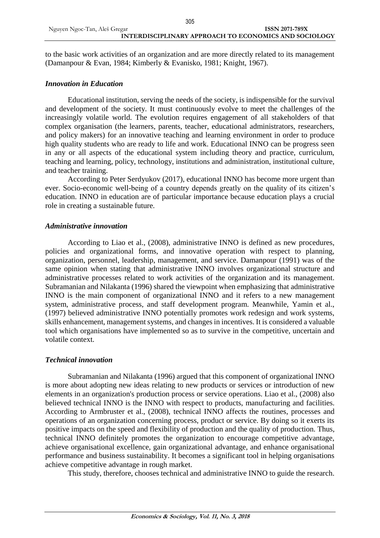to the basic work activities of an organization and are more directly related to its management (Damanpour & Evan, 1984; Kimberly & Evanisko, 1981; Knight, 1967).

#### *Innovation in Education*

Educational institution, serving the needs of the society, is indispensible for the survival and development of the society. It must continuously evolve to meet the challenges of the increasingly volatile world. The evolution requires engagement of all stakeholders of that complex organisation (the learners, parents, teacher, educational administrators, researchers, and policy makers) for an innovative teaching and learning environment in order to produce high quality students who are ready to life and work. Educational INNO can be progress seen in any or all aspects of the educational system including theory and practice, curriculum, teaching and learning, policy, technology, institutions and administration, institutional culture, and teacher training.

According to Peter Serdyukov (2017), educational INNO has become more urgent than ever. Socio-economic well-being of a country depends greatly on the quality of its citizen's education. INNO in education are of particular importance because education plays a crucial role in creating a sustainable future.

#### *Administrative innovation*

According to Liao et al., (2008), administrative INNO is defined as new procedures, policies and organizational forms, and innovative operation with respect to planning, organization, personnel, leadership, management, and service. Damanpour (1991) was of the same opinion when stating that administrative INNO involves organizational structure and administrative processes related to work activities of the organization and its management. Subramanian and Nilakanta (1996) shared the viewpoint when emphasizing that administrative INNO is the main component of organizational INNO and it refers to a new management system, administrative process, and staff development program. Meanwhile, Yamin et al., (1997) believed administrative INNO potentially promotes work redesign and work systems, skills enhancement, management systems, and changes in incentives. It is considered a valuable tool which organisations have implemented so as to survive in the competitive, uncertain and volatile context.

### *Technical innovation*

Subramanian and Nilakanta (1996) argued that this component of organizational INNO is more about adopting new ideas relating to new products or services or introduction of new elements in an organization's production process or service operations. Liao et al., (2008) also believed technical INNO is the INNO with respect to products, manufacturing and facilities. According to Armbruster et al., (2008), technical INNO affects the routines, processes and operations of an organization concerning process, product or service. By doing so it exerts its positive impacts on the speed and flexibility of production and the quality of production. Thus, technical INNO definitely promotes the organization to encourage competitive advantage, achieve organisational excellence, gain organizational advantage, and enhance organisational performance and business sustainability. It becomes a significant tool in helping organisations achieve competitive advantage in rough market.

This study, therefore, chooses technical and administrative INNO to guide the research.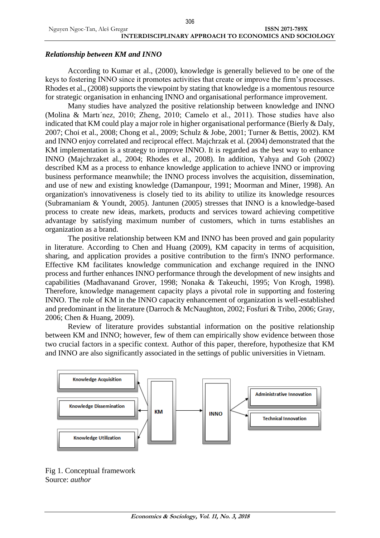### *Relationship between KM and INNO*

According to Kumar et al., (2000), knowledge is generally believed to be one of the keys to fostering INNO since it promotes activities that create or improve the firm's processes. Rhodes et al., (2008) supports the viewpoint by stating that knowledge is a momentous resource for strategic organisation in enhancing INNO and organisational performance improvement.

Many studies have analyzed the positive relationship between knowledge and INNO (Molina & Martı´nez, 2010; Zheng, 2010; Camelo et al., 2011). Those studies have also indicated that KM could play a major role in higher organisational performance (Bierly & Daly, 2007; Choi et al., 2008; Chong et al., 2009; Schulz & Jobe, 2001; Turner & Bettis, 2002). KM and INNO enjoy correlated and reciprocal effect. Majchrzak et al. (2004) demonstrated that the KM implementation is a strategy to improve INNO. It is regarded as the best way to enhance INNO (Majchrzaket al., 2004; Rhodes et al., 2008). In addition, Yahya and Goh (2002) described KM as a process to enhance knowledge application to achieve INNO or improving business performance meanwhile; the INNO process involves the acquisition, dissemination, and use of new and existing knowledge (Damanpour, 1991; Moorman and Miner, 1998). An organization's innovativeness is closely tied to its ability to utilize its knowledge resources (Subramaniam & Youndt, 2005). Jantunen (2005) stresses that INNO is a knowledge-based process to create new ideas, markets, products and services toward achieving competitive advantage by satisfying maximum number of customers, which in turns establishes an organization as a brand.

The positive relationship between KM and INNO has been proved and gain popularity in literature. According to Chen and Huang (2009), KM capacity in terms of acquisition, sharing, and application provides a positive contribution to the firm's INNO performance. Effective KM facilitates knowledge communication and exchange required in the INNO process and further enhances INNO performance through the development of new insights and capabilities (Madhavanand Grover, 1998; Nonaka & Takeuchi, 1995; Von Krogh, 1998). Therefore, knowledge management capacity plays a pivotal role in supporting and fostering INNO. The role of KM in the INNO capacity enhancement of organization is well-established and predominant in the literature (Darroch & McNaughton, 2002; Fosfuri & Tribo, 2006; Gray, 2006; Chen & Huang, 2009).

Review of literature provides substantial information on the positive relationship between KM and INNO; however, few of them can empirically show evidence between those two crucial factors in a specific context. Author of this paper, therefore, hypothesize that KM and INNO are also significantly associated in the settings of public universities in Vietnam.



Fig 1. Conceptual framework Source: *author*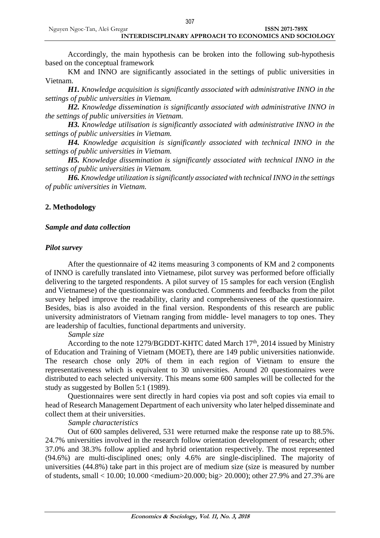Accordingly, the main hypothesis can be broken into the following sub-hypothesis based on the conceptual framework

KM and INNO are significantly associated in the settings of public universities in Vietnam.

*H1. Knowledge acquisition is significantly associated with administrative INNO in the settings of public universities in Vietnam.*

*H2. Knowledge dissemination is significantly associated with administrative INNO in the settings of public universities in Vietnam.*

*H3. Knowledge utilisation is significantly associated with administrative INNO in the settings of public universities in Vietnam.*

*H4. Knowledge acquisition is significantly associated with technical INNO in the settings of public universities in Vietnam.*

*H5. Knowledge dissemination is significantly associated with technical INNO in the settings of public universities in Vietnam.*

*H6. Knowledge utilization is significantly associated with technical INNO in the settings of public universities in Vietnam.*

### **2. Methodology**

### *Sample and data collection*

### *Pilot survey*

After the questionnaire of 42 items measuring 3 components of KM and 2 components of INNO is carefully translated into Vietnamese, pilot survey was performed before officially delivering to the targeted respondents. A pilot survey of 15 samples for each version (English and Vietnamese) of the questionnaire was conducted. Comments and feedbacks from the pilot survey helped improve the readability, clarity and comprehensiveness of the questionnaire. Besides, bias is also avoided in the final version. Respondents of this research are public university administrators of Vietnam ranging from middle- level managers to top ones. They are leadership of faculties, functional departments and university.

### *Sample size*

According to the note 1279/BGDDT-KHTC dated March  $17<sup>th</sup>$ , 2014 issued by Ministry of Education and Training of Vietnam (MOET), there are 149 public universities nationwide. The research chose only 20% of them in each region of Vietnam to ensure the representativeness which is equivalent to 30 universities. Around 20 questionnaires were distributed to each selected university. This means some 600 samples will be collected for the study as suggested by Bollen 5:1 (1989).

Questionnaires were sent directly in hard copies via post and soft copies via email to head of Research Management Department of each university who later helped disseminate and collect them at their universities.

### *Sample characteristics*

Out of 600 samples delivered, 531 were returned make the response rate up to 88.5%. 24.7% universities involved in the research follow orientation development of research; other 37.0% and 38.3% follow applied and hybrid orientation respectively. The most represented (94.6%) are multi-disciplined ones; only 4.6% are single-disciplined. The majority of universities (44.8%) take part in this project are of medium size (size is measured by number of students, small < 10.00; 10.000 <medium>20.000; big> 20.000); other 27.9% and 27.3% are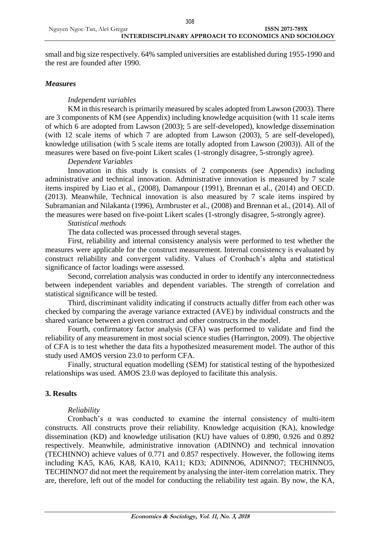small and big size respectively. 64% sampled universities are established during 1955-1990 and the rest are founded after 1990.

### *Measures*

### *Independent variables*

KM in this research is primarily measured by scales adopted from Lawson (2003). There are 3 components of KM (see Appendix) including knowledge acquisition (with 11 scale items of which 6 are adopted from Lawson (2003); 5 are self-developed), knowledge dissemination (with 12 scale items of which 7 are adopted from Lawson (2003), 5 are self-developed), knowledge utilisation (with 5 scale items are totally adopted from Lawson (2003)). All of the measures were based on five-point Likert scales (1-strongly disagree, 5-strongly agree).

### *Dependent Variables*

Innovation in this study is consists of 2 components (see Appendix) including administrative and technical innovation. Administrative innovation is measured by 7 scale items inspired by Liao et al., (2008), Damanpour (1991), Brennan et al., (2014) and OECD. (2013). Meanwhile, Technical innovation is also measured by 7 scale items inspired by Subramanian and Nilakanta (1996), Armbruster et al., (2008) and Brennan et al., (2014). All of the measures were based on five-point Likert scales (1-strongly disagree, 5-strongly agree).

*Statistical methods*

The data collected was processed through several stages.

First, reliability and internal consistency analysis were performed to test whether the measures were applicable for the construct measurement. Internal consistency is evaluated by construct reliability and convergent validity. Values of Cronbach's alpha and statistical significance of factor loadings were assessed.

Second, correlation analysis was conducted in order to identify any interconnectedness between independent variables and dependent variables. The strength of correlation and statistical significance will be tested.

Third, discriminant validity indicating if constructs actually differ from each other was checked by comparing the average variance extracted (AVE) by individual constructs and the shared variance between a given construct and other constructs in the model.

Fourth, confirmatory factor analysis (CFA) was performed to validate and find the reliability of any measurement in most social science studies (Harrington, 2009). The objective of CFA is to test whether the data fits a hypothesized measurement model. The author of this study used AMOS version 23.0 to perform CFA.

Finally, structural equation modelling (SEM) for statistical testing of the hypothesized relationships was used. AMOS 23.0 was deployed to facilitate this analysis.

### **3. Results**

### *Reliability*

Cronbach's  $\alpha$  was conducted to examine the internal consistency of multi-item constructs. All constructs prove their reliability. Knowledge acquisition (KA), knowledge dissemination (KD) and knowledge utilisation (KU) have values of 0.890, 0.926 and 0.892 respectively. Meanwhile, administrative innovation (ADINNO) and technical innovation (TECHINNO) achieve values of 0.771 and 0.857 respectively. However, the following items including KA5, KA6, KA8, KA10, KA11; KD3; ADINNO6, ADINNO7; TECHINNO5, TECHINNO7 did not meet the requirement by analysing the inter-item correlation matrix. They are, therefore, left out of the model for conducting the reliability test again. By now, the KA,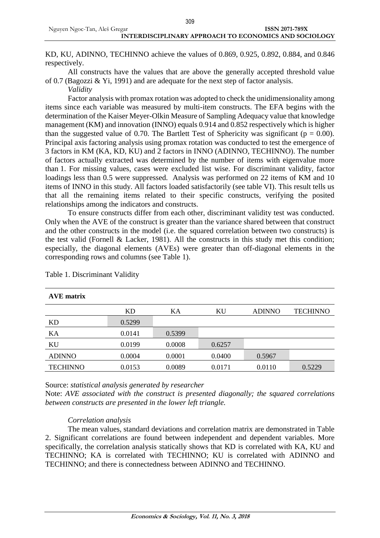KD, KU, ADINNO, TECHINNO achieve the values of 0.869, 0.925, 0.892, 0.884, and 0.846 respectively.

All constructs have the values that are above the generally accepted threshold value of 0.7 (Bagozzi & Yi, 1991) and are adequate for the next step of factor analysis.

*Validity*

Factor analysis with promax rotation was adopted to check the unidimensionality among items since each variable was measured by multi-item constructs. The EFA begins with the determination of the Kaiser Meyer-Olkin Measure of Sampling Adequacy value that knowledge management (KM) and innovation (INNO) equals 0.914 and 0.852 respectively which is higher than the suggested value of 0.70. The Bartlett Test of Sphericity was significant ( $p = 0.00$ ). Principal axis factoring analysis using promax rotation was conducted to test the emergence of 3 factors in KM (KA, KD, KU) and 2 factors in INNO (ADINNO, TECHINNO). The number of factors actually extracted was determined by the number of items with eigenvalue more than 1. For missing values, cases were excluded list wise. For discriminant validity, factor loadings less than 0.5 were suppressed. Analysis was performed on 22 items of KM and 10 items of INNO in this study. All factors loaded satisfactorily (see table VI). This result tells us that all the remaining items related to their specific constructs, verifying the posited relationships among the indicators and constructs.

To ensure constructs differ from each other, discriminant validity test was conducted. Only when the AVE of the construct is greater than the variance shared between that construct and the other constructs in the model (i.e. the squared correlation between two constructs) is the test valid (Fornell & Lacker, 1981). All the constructs in this study met this condition; especially, the diagonal elements (AVEs) were greater than off-diagonal elements in the corresponding rows and columns (see Table 1).

| <b>AVE</b> matrix |        |        |        |               |                 |
|-------------------|--------|--------|--------|---------------|-----------------|
|                   | KD     | KA     | KU     | <b>ADINNO</b> | <b>TECHINNO</b> |
| KD                | 0.5299 |        |        |               |                 |
| KA                | 0.0141 | 0.5399 |        |               |                 |
| KU                | 0.0199 | 0.0008 | 0.6257 |               |                 |
| <b>ADINNO</b>     | 0.0004 | 0.0001 | 0.0400 | 0.5967        |                 |
| <b>TECHINNO</b>   | 0.0153 | 0.0089 | 0.0171 | 0.0110        | 0.5229          |

Table 1. Discriminant Validity

Source: *statistical analysis generated by researcher*

Note: *AVE associated with the construct is presented diagonally; the squared correlations between constructs are presented in the lower left triangle.*

### *Correlation analysis*

The mean values, standard deviations and correlation matrix are demonstrated in Table 2. Significant correlations are found between independent and dependent variables. More specifically, the correlation analysis statically shows that KD is correlated with KA, KU and TECHINNO; KA is correlated with TECHINNO; KU is correlated with ADINNO and TECHINNO; and there is connectedness between ADINNO and TECHINNO.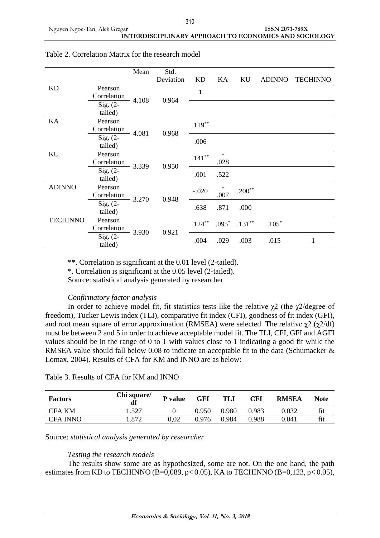|                 |             | Mean           | Std.      |           |         |           |               |                 |      |   |  |  |
|-----------------|-------------|----------------|-----------|-----------|---------|-----------|---------------|-----------------|------|---|--|--|
|                 |             |                | Deviation | <b>KD</b> | KА      | KU        | <b>ADINNO</b> | <b>TECHINNO</b> |      |   |  |  |
| KD              | Pearson     |                |           |           |         |           |               |                 |      |   |  |  |
|                 | Correlation | 4.108          | 0.964     | 1         |         |           |               |                 |      |   |  |  |
|                 | Sig. $(2-$  |                |           |           |         |           |               |                 |      |   |  |  |
|                 | tailed)     |                |           |           |         |           |               |                 |      |   |  |  |
| KA              | Pearson     |                |           | $.119***$ |         |           |               |                 |      |   |  |  |
|                 | Correlation | 4.081          | 0.968     |           |         |           |               |                 |      |   |  |  |
|                 | $Sig. (2-$  |                |           | .006      |         |           |               |                 |      |   |  |  |
|                 | tailed)     |                |           |           |         |           |               |                 |      |   |  |  |
| KU              | Pearson     |                |           | $.141**$  |         |           |               |                 |      |   |  |  |
|                 | Correlation | 3.339          |           |           | 0.950   | .028      |               |                 |      |   |  |  |
|                 | $Sig. (2-$  |                |           |           |         |           |               | .001            | .522 |   |  |  |
|                 | tailed)     |                |           |           |         |           |               |                 |      |   |  |  |
| <b>ADINNO</b>   | Pearson     |                | 0.948     |           | $-.020$ |           | $.200**$      |                 |      |   |  |  |
|                 | Correlation | 3.270          |           |           | .007    |           |               |                 |      |   |  |  |
|                 | $Sig. (2-$  |                |           | .638      | .871    | .000      |               |                 |      |   |  |  |
|                 | tailed)     |                |           |           |         |           |               |                 |      |   |  |  |
| <b>TECHINNO</b> | Pearson     |                |           | $.124***$ | $.095*$ | $.131***$ | $.105*$       |                 |      |   |  |  |
|                 | Correlation | 3.930<br>0.921 |           |           |         |           |               |                 |      |   |  |  |
|                 | Sig. (2-    |                |           |           |         | .004      | .029          | .003            | .015 | 1 |  |  |
|                 | tailed)     |                |           |           |         |           |               |                 |      |   |  |  |

### Table 2. Correlation Matrix for the research model

\*\*. Correlation is significant at the 0.01 level (2-tailed).

\*. Correlation is significant at the 0.05 level (2-tailed).

Source: statistical analysis generated by researcher

### *Confirmatory factor analysis*

In order to achieve model fit, fit statistics tests like the relative  $\gamma$ 2 (the  $\gamma$ 2/degree of freedom), Tucker Lewis index (TLI), comparative fit index (CFI), goodness of fit index (GFI), and root mean square of error approximation (RMSEA) were selected. The relative  $\gamma$ 2 ( $\gamma$ 2/df) must be between 2 and 5 in order to achieve acceptable model fit. The TLI, CFI, GFI and AGFI values should be in the range of 0 to 1 with values close to 1 indicating a good fit while the RMSEA value should fall below 0.08 to indicate an acceptable fit to the data (Schumacker & Lomax, 2004). Results of CFA for KM and INNO are as below:

| <b>Factors</b>  | Chi square/<br>df | P value | GFI   | TLI   | CFI   | <b>RMSEA</b> | Note |
|-----------------|-------------------|---------|-------|-------|-------|--------------|------|
| <b>CFA KM</b>   | 527               |         | 0.950 | ).980 | 0.983 | 0.032        | fit  |
| <b>CFA INNO</b> | .872              | 0.02    | 0.976 | 0.984 | 0.988 | 0.041        | tıt  |

### Table 3. Results of CFA for KM and INNO

Source: *statistical analysis generated by researcher*

### *Testing the research models*

The results show some are as hypothesized, some are not. On the one hand, the path estimates from KD to TECHINNO (B=0,089, p< 0.05), KA to TECHINNO (B=0,123, p< 0.05),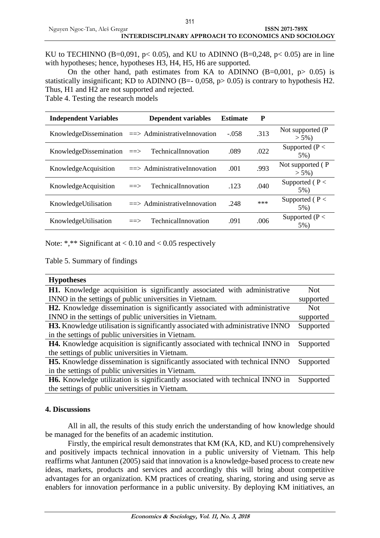KU to TECHINNO (B=0,091,  $p < 0.05$ ), and KU to ADINNO (B=0,248,  $p < 0.05$ ) are in line with hypotheses; hence, hypotheses H3, H4, H5, H6 are supported.

On the other hand, path estimates from KA to ADINNO  $(B=0.001, p> 0.05)$  is statistically insignificant; KD to ADINNO (B= $-$  0,058, p $> 0.05$ ) is contrary to hypothesis H2. Thus, H1 and H2 are not supported and rejected.

Table 4. Testing the research models

| <b>Independent Variables</b> |                     | <b>Dependent variables</b>             | <b>Estimate</b> | P    |                               |
|------------------------------|---------------------|----------------------------------------|-----------------|------|-------------------------------|
| KnowledgeDissemination       |                     | $\Rightarrow$ AdministrativeInnovation | $-.058$         | .313 | Not supported (P<br>$> 5\%$ ) |
| KnowledgeDissemination       | $\Rightarrow$       | TechnicalInnovation                    | .089            | .022 | Supported ( $P <$<br>5%)      |
| KnowledgeAcquisition         |                     | $\equiv$ > AdministrativeInnovation    | .001            | .993 | Not supported (P<br>$> 5\%$ ) |
| KnowledgeAcquisition         | $\equiv \equiv \gt$ | TechnicalInnovation                    | .123            | .040 | Supported ( $P <$<br>5%)      |
| KnowledgeUtilisation         |                     | $\Rightarrow$ AdministrativeInnovation | .248            | ***  | Supported ( $P <$<br>5%)      |
| KnowledgeUtilisation         | $\equiv \equiv \gt$ | TechnicalInnovation                    | .091            | .006 | Supported ( $P <$<br>5%)      |

Note: \*,\*\* Significant at  $< 0.10$  and  $< 0.05$  respectively

Table 5. Summary of findings

| <b>Hypotheses</b>                                                                     |            |
|---------------------------------------------------------------------------------------|------------|
| H1. Knowledge acquisition is significantly associated with administrative             | <b>Not</b> |
| INNO in the settings of public universities in Vietnam.                               | supported  |
| <b>H2.</b> Knowledge dissemination is significantly associated with administrative    | <b>Not</b> |
| INNO in the settings of public universities in Vietnam.                               | supported  |
| <b>H3.</b> Knowledge utilisation is significantly associated with administrative INNO | Supported  |
| in the settings of public universities in Vietnam.                                    |            |
| H4. Knowledge acquisition is significantly associated with technical INNO in          | Supported  |
| the settings of public universities in Vietnam.                                       |            |
| H5. Knowledge dissemination is significantly associated with technical INNO           | Supported  |
| in the settings of public universities in Vietnam.                                    |            |
| H6. Knowledge utilization is significantly associated with technical INNO in          | Supported  |
| the settings of public universities in Vietnam.                                       |            |

#### **4. Discussions**

All in all, the results of this study enrich the understanding of how knowledge should be managed for the benefits of an academic institution.

Firstly, the empirical result demonstrates that KM (KA, KD, and KU) comprehensively and positively impacts technical innovation in a public university of Vietnam. This help reaffirms what Jantunen (2005) said that innovation is a knowledge-based process to create new ideas, markets, products and services and accordingly this will bring about competitive advantages for an organization. KM practices of creating, sharing, storing and using serve as enablers for innovation performance in a public university. By deploying KM initiatives, an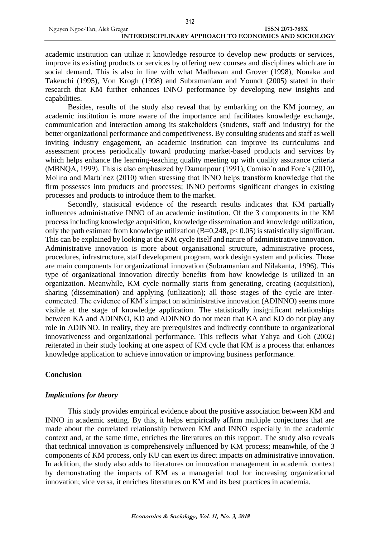academic institution can utilize it knowledge resource to develop new products or services, improve its existing products or services by offering new courses and disciplines which are in social demand. This is also in line with what Madhavan and Grover (1998), Nonaka and Takeuchi (1995), Von Krogh (1998) and Subramaniam and Youndt (2005) stated in their research that KM further enhances INNO performance by developing new insights and capabilities.

Besides, results of the study also reveal that by embarking on the KM journey, an academic institution is more aware of the importance and facilitates knowledge exchange, communication and interaction among its stakeholders (students, staff and industry) for the better organizational performance and competitiveness. By consulting students and staff as well inviting industry engagement, an academic institution can improve its curriculums and assessment process periodically toward producing market-based products and services by which helps enhance the learning-teaching quality meeting up with quality assurance criteria (MBNQA, 1999). This is also emphasized by Damanpour (1991), Camiso´n and Fore´s (2010), Molina and Martı´nez (2010) when stressing that INNO helps transform knowledge that the firm possesses into products and processes; INNO performs significant changes in existing processes and products to introduce them to the market.

Secondly, statistical evidence of the research results indicates that KM partially influences administrative INNO of an academic institution. Of the 3 components in the KM process including knowledge acquisition, knowledge dissemination and knowledge utilization, only the path estimate from knowledge utilization (B=0,248, p< 0.05) is statistically significant. This can be explained by looking at the KM cycle itself and nature of administrative innovation. Administrative innovation is more about organisational structure, administrative process, procedures, infrastructure, staff development program, work design system and policies. Those are main components for organizational innovation (Subramanian and Nilakanta, 1996). This type of organizational innovation directly benefits from how knowledge is utilized in an organization. Meanwhile, KM cycle normally starts from generating, creating (acquisition), sharing (dissemination) and applying (utilization); all those stages of the cycle are interconnected. The evidence of KM's impact on administrative innovation (ADINNO) seems more visible at the stage of knowledge application. The statistically insignificant relationships between KA and ADINNO, KD and ADINNO do not mean that KA and KD do not play any role in ADINNO. In reality, they are prerequisites and indirectly contribute to organizational innovativeness and organizational performance. This reflects what Yahya and Goh (2002) reiterated in their study looking at one aspect of KM cycle that KM is a process that enhances knowledge application to achieve innovation or improving business performance.

### **Conclusion**

### *Implications for theory*

This study provides empirical evidence about the positive association between KM and INNO in academic setting. By this, it helps empirically affirm multiple conjectures that are made about the correlated relationship between KM and INNO especially in the academic context and, at the same time, enriches the literatures on this rapport. The study also reveals that technical innovation is comprehensively influenced by KM process; meanwhile, of the 3 components of KM process, only KU can exert its direct impacts on administrative innovation. In addition, the study also adds to literatures on innovation management in academic context by demonstrating the impacts of KM as a managerial tool for increasing organizational innovation; vice versa, it enriches literatures on KM and its best practices in academia.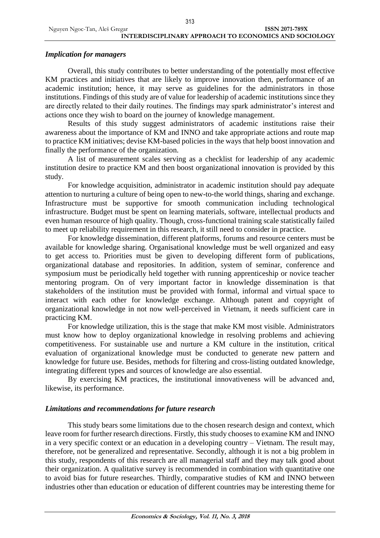### *Implication for managers*

Overall, this study contributes to better understanding of the potentially most effective KM practices and initiatives that are likely to improve innovation then, performance of an academic institution; hence, it may serve as guidelines for the administrators in those institutions. Findings of this study are of value for leadership of academic institutions since they are directly related to their daily routines. The findings may spark administrator's interest and actions once they wish to board on the journey of knowledge management.

Results of this study suggest administrators of academic institutions raise their awareness about the importance of KM and INNO and take appropriate actions and route map to practice KM initiatives; devise KM-based policies in the ways that help boost innovation and finally the performance of the organization.

A list of measurement scales serving as a checklist for leadership of any academic institution desire to practice KM and then boost organizational innovation is provided by this study.

For knowledge acquisition, administrator in academic institution should pay adequate attention to nurturing a culture of being open to new-to-the world things, sharing and exchange. Infrastructure must be supportive for smooth communication including technological infrastructure. Budget must be spent on learning materials, software, intellectual products and even human resource of high quality. Though, cross-functional training scale statistically failed to meet up reliability requirement in this research, it still need to consider in practice.

For knowledge dissemination, different platforms, forums and resource centers must be available for knowledge sharing. Organisational knowledge must be well organized and easy to get access to. Priorities must be given to developing different form of publications, organizational database and repositories. In addition, system of seminar, conference and symposium must be periodically held together with running apprenticeship or novice teacher mentoring program. On of very important factor in knowledge dissemination is that stakeholders of the institution must be provided with formal, informal and virtual space to interact with each other for knowledge exchange. Although patent and copyright of organizational knowledge in not now well-perceived in Vietnam, it needs sufficient care in practicing KM.

For knowledge utilization, this is the stage that make KM most visible. Administrators must know how to deploy organizational knowledge in resolving problems and achieving competitiveness. For sustainable use and nurture a KM culture in the institution, critical evaluation of organizational knowledge must be conducted to generate new pattern and knowledge for future use. Besides, methods for filtering and cross-listing outdated knowledge, integrating different types and sources of knowledge are also essential.

By exercising KM practices, the institutional innovativeness will be advanced and, likewise, its performance.

### *Limitations and recommendations for future research*

This study bears some limitations due to the chosen research design and context, which leave room for further research directions. Firstly, this study chooses to examine KM and INNO in a very specific context or an education in a developing country – Vietnam. The result may, therefore, not be generalized and representative. Secondly, although it is not a big problem in this study, respondents of this research are all managerial staff and they may talk good about their organization. A qualitative survey is recommended in combination with quantitative one to avoid bias for future researches. Thirdly, comparative studies of KM and INNO between industries other than education or education of different countries may be interesting theme for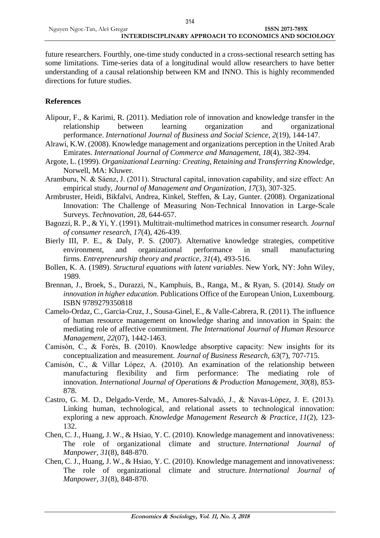future researchers. Fourthly, one-time study conducted in a cross-sectional research setting has some limitations. Time-series data of a longitudinal would allow researchers to have better understanding of a causal relationship between KM and INNO. This is highly recommended directions for future studies.

### **References**

- Alipour, F., & Karimi, R. (2011). Mediation role of innovation and knowledge transfer in the relationship between learning organization and organizational performance. *International Journal of Business and Social Science*, *2*(19), 144-147.
- Alrawi, K.W. (2008). Knowledge management and organizations perception in the United Arab Emirates. *International Journal of Commerce and Management*, *18*(4), 382-394.
- Argote, L. (1999). *Organizational Learning: Creating, Retaining and Transferring Knowledge*, Norwell, MA: Kluwer.
- Aramburu, N. & Sáenz, J. (2011). Structural capital, innovation capability, and size effect: An empirical study, *Journal of Management and Organization*, *17*(3), 307-325.
- Armbruster, Heidi, Bikfalvi, Andrea, Kinkel, Steffen, & Lay, Gunter. (2008). Organizational Innovation: The Challenge of Measuring Non-Technical Innovation in Large-Scale Surveys. *Technovation, 28*, 644-657.
- Bagozzi, R. P., & Yi, Y. (1991). Multitrait-multimethod matrices in consumer research. *Journal of consumer research*, *17*(4), 426-439.
- Bierly III, P. E., & Daly, P. S. (2007). Alternative knowledge strategies, competitive environment, and organizational performance in small manufacturing firms. *Entrepreneurship theory and practice*, *31*(4), 493-516.
- Bollen, K. A. (1989). *Structural equations with latent variables*. New York, NY: John Wiley, 1989.
- Brennan, J., Broek, S., Durazzi, N., Kamphuis, B., Ranga, M., & Ryan, S. (2014*). Study on innovation in higher education*. Publications Office of the European Union, Luxembourg. ISBN 9789279350818
- Camelo-Ordaz, C., Garcia-Cruz, J., Sousa-Ginel, E., & Valle-Cabrera, R. (2011). The influence of human resource management on knowledge sharing and innovation in Spain: the mediating role of affective commitment. *The International Journal of Human Resource Management*, *22*(07), 1442-1463.
- Camisón, C., & Forés, B. (2010). Knowledge absorptive capacity: New insights for its conceptualization and measurement. *Journal of Business Research*, *63*(7), 707-715.
- Camisón, C., & Villar López, A. (2010). An examination of the relationship between manufacturing flexibility and firm performance: The mediating role of innovation. *International Journal of Operations & Production Management*, *30*(8), 853- 878.
- Castro, G. M. D., Delgado-Verde, M., Amores-Salvadó, J., & Navas-López, J. E. (2013). Linking human, technological, and relational assets to technological innovation: exploring a new approach. *Knowledge Management Research & Practice*, *11*(2), 123- 132.
- Chen, C. J., Huang, J. W., & Hsiao, Y. C. (2010). Knowledge management and innovativeness: The role of organizational climate and structure. *International Journal of Manpower*, *31*(8), 848-870.
- Chen, C. J., Huang, J. W., & Hsiao, Y. C. (2010). Knowledge management and innovativeness: The role of organizational climate and structure. *International Journal of Manpower*, *31*(8), 848-870.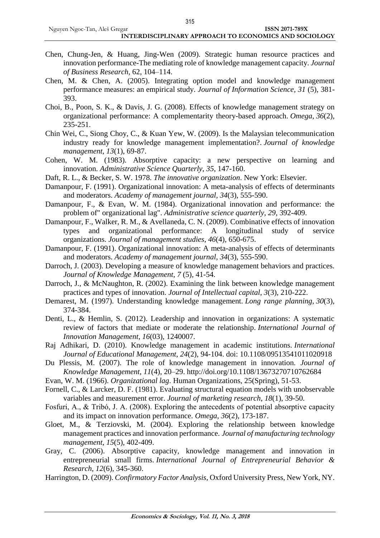- Chen, Chung-Jen, & Huang, Jing-Wen (2009). Strategic human resource practices and innovation performance-The mediating role of knowledge management capacity. *Journal of Business Research*, 62, 104–114.
- Chen, M. & Chen, A. (2005). Integrating option model and knowledge management performance measures: an empirical study. *Journal of Information Science*, *31* (5), 381- 393.
- Choi, B., Poon, S. K., & Davis, J. G. (2008). Effects of knowledge management strategy on organizational performance: A complementarity theory-based approach. *Omega*, *36*(2), 235-251.
- Chin Wei, C., Siong Choy, C., & Kuan Yew, W. (2009). Is the Malaysian telecommunication industry ready for knowledge management implementation?. *Journal of knowledge management*, *13*(1), 69-87.
- Cohen, W. M. (1983). Absorptive capacity: a new perspective on learning and innovation. *Administrative Science Quarterly*, *35*, 147-160.
- Daft, R. L., & Becker, S. W. 1978. *The innovative organization*. New York: Elsevier.
- Damanpour, F. (1991). Organizational innovation: A meta-analysis of effects of determinants and moderators. *Academy of management journal*, *34*(3), 555-590.
- Damanpour, F., & Evan, W. M. (1984). Organizational innovation and performance: the problem of" organizational lag". *Administrative science quarterly*, *29*, 392-409.
- Damanpour, F., Walker, R. M., & Avellaneda, C. N. (2009). Combinative effects of innovation types and organizational performance: A longitudinal study of service organizations. *Journal of management studies*, *46*(4), 650-675.
- Damanpour, F. (1991). Organizational innovation: A meta-analysis of effects of determinants and moderators. *Academy of management journal*, *34*(3), 555-590.
- Darroch, J. (2003). Developing a measure of knowledge management behaviors and practices. *Journal of Knowledge Management*, *7* (5), 41-54.
- Darroch, J., & McNaughton, R. (2002). Examining the link between knowledge management practices and types of innovation. *Journal of Intellectual capital*, *3*(3), 210-222.
- Demarest, M. (1997). Understanding knowledge management. *Long range planning*, *30*(3), 374-384.
- Denti, L., & Hemlin, S. (2012). Leadership and innovation in organizations: A systematic review of factors that mediate or moderate the relationship. *International Journal of Innovation Management*, *16*(03), 1240007.
- Raj Adhikari, D. (2010). Knowledge management in academic institutions. *International Journal of Educational Management*, *24*(2), 94-104. doi: 10.1108/09513541011020918
- Du Plessis, M. (2007). The role of knowledge management in innovation. *Journal of Knowledge Management*, *11*(4), 20–29. http://doi.org/10.1108/13673270710762684
- Evan, W. M. (1966). *Organizational lag*. Human Organizations, 25(Spring), 51-53.
- Fornell, C., & Larcker, D. F. (1981). Evaluating structural equation models with unobservable variables and measurement error. *Journal of marketing research*, *18*(1), 39-50.
- Fosfuri, A., & Tribó, J. A. (2008). Exploring the antecedents of potential absorptive capacity and its impact on innovation performance. *Omega*, *36*(2), 173-187.
- Gloet, M., & Terziovski, M. (2004). Exploring the relationship between knowledge management practices and innovation performance. *Journal of manufacturing technology management*, *15*(5), 402-409.
- Gray, C. (2006). Absorptive capacity, knowledge management and innovation in entrepreneurial small firms. *International Journal of Entrepreneurial Behavior & Research*, *12*(6), 345-360.
- Harrington, D. (2009). *Confirmatory Factor Analysis*, Oxford University Press, New York, NY.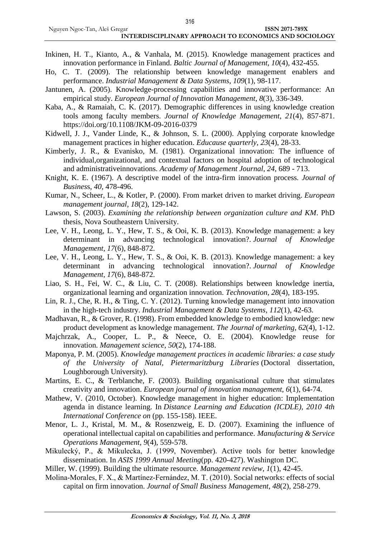- Inkinen, H. T., Kianto, A., & Vanhala, M. (2015). Knowledge management practices and innovation performance in Finland. *Baltic Journal of Management*, *10*(4), 432-455.
- Ho, C. T. (2009). The relationship between knowledge management enablers and performance. *Industrial Management & Data Systems*, *109*(1), 98-117.
- Jantunen, A. (2005). Knowledge-processing capabilities and innovative performance: An empirical study. *European Journal of Innovation Management*, *8*(3), 336-349.
- Kaba, A., & Ramaiah, C. K. (2017). Demographic differences in using knowledge creation tools among faculty members. *Journal of Knowledge Management*, *21*(4), 857-871. https://doi.org/10.1108/JKM-09-2016-0379
- Kidwell, J. J., Vander Linde, K., & Johnson, S. L. (2000). Applying corporate knowledge management practices in higher education. *Educause quarterly*, *23*(4), 28-33.
- Kimberly, J. R., & Evanisko, M. (1981). Organizational innovation: The influence of individual,organizational, and contextual factors on hospital adoption of technological and administrativeinnovations. *Academy of Management Journal*, *24*, 689 - 713.
- Knight, K. E. (1967). A descriptive model of the intra-firm innovation process*. Journal of Busines*s, *40*, 478-496.
- Kumar, N., Scheer, L., & Kotler, P. (2000). From market driven to market driving. *European management journal*, *18*(2), 129-142.
- Lawson, S. (2003). *Examining the relationship between organization culture and KM*. PhD thesis, Nova Southeastern University.
- Lee, V. H., Leong, L. Y., Hew, T. S., & Ooi, K. B. (2013). Knowledge management: a key determinant in advancing technological innovation?. *Journal of Knowledge Management*, *17*(6), 848-872.
- Lee, V. H., Leong, L. Y., Hew, T. S., & Ooi, K. B. (2013). Knowledge management: a key determinant in advancing technological innovation?. *Journal of Knowledge Management*, *17*(6), 848-872.
- Liao, S. H., Fei, W. C., & Liu, C. T. (2008). Relationships between knowledge inertia, organizational learning and organization innovation. *Technovation*, *28*(4), 183-195.
- Lin, R. J., Che, R. H., & Ting, C. Y. (2012). Turning knowledge management into innovation in the high-tech industry. *Industrial Management & Data Systems*, *112*(1), 42-63.
- Madhavan, R., & Grover, R. (1998). From embedded knowledge to embodied knowledge: new product development as knowledge management. *The Journal of marketing*, *62*(4), 1-12.
- Majchrzak, A., Cooper, L. P., & Neece, O. E. (2004). Knowledge reuse for innovation. *Management science*, *50*(2), 174-188.
- Maponya, P. M. (2005). *Knowledge management practices in academic libraries: a case study of the University of Natal, Pietermaritzburg Libraries* (Doctoral dissertation, Loughborough University).
- Martins, E. C., & Terblanche, F. (2003). Building organisational culture that stimulates creativity and innovation. *European journal of innovation management*, *6*(1), 64-74.
- Mathew, V. (2010, October). Knowledge management in higher education: Implementation agenda in distance learning. In *Distance Learning and Education (ICDLE), 2010 4th International Conference on* (pp. 155-158). IEEE.
- Menor, L. J., Kristal, M. M., & Rosenzweig, E. D. (2007). Examining the influence of operational intellectual capital on capabilities and performance. *Manufacturing & Service Operations Management*, *9*(4), 559-578.
- Mikulecký, P., & Mikulecka, J. (1999, November). Active tools for better knowledge dissemination. In *ASIS 1999 Annual Meeting*(pp. 420-427). Washington DC.
- Miller, W. (1999). Building the ultimate resource. *Management review*, *1*(1), 42-45.
- Molina‐Morales, F. X., & Martínez‐Fernández, M. T. (2010). Social networks: effects of social capital on firm innovation. *Journal of Small Business Management*, *48*(2), 258-279.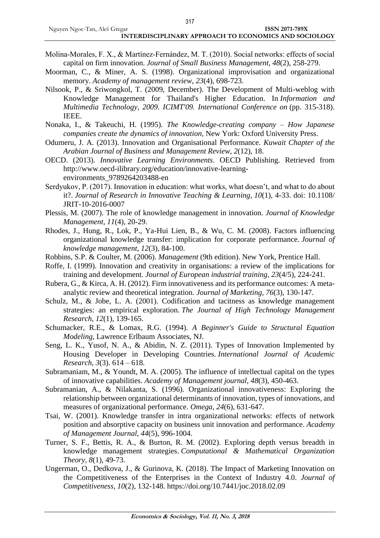- Molina‐Morales, F. X., & Martínez‐Fernández, M. T. (2010). Social networks: effects of social capital on firm innovation. *Journal of Small Business Management*, *48*(2), 258-279.
- Moorman, C., & Miner, A. S. (1998). Organizational improvisation and organizational memory. *Academy of management review*, *23*(4), 698-723.
- Nilsook, P., & Sriwongkol, T. (2009, December). The Development of Multi-weblog with Knowledge Management for Thailand's Higher Education. In *Information and Multimedia Technology, 2009. ICIMT'09. International Conference on* (pp. 315-318). IEEE.
- Nonaka, I., & Takeuchi, H. (1995). *The Knowledge-creating company – How Japanese companies create the dynamics of innovation*, New York: Oxford University Press.
- Odumeru, J. A. (2013). Innovation and Organisational Performance. *Kuwait Chapter of the Arabian Journal of Business and Management Review*, *2*(12), 18.
- OECD. (2013). *Innovative Learning Environments*. OECD Publishing. Retrieved from http://www.oecd-ilibrary.org/education/innovative-learningenvironments\_9789264203488-en
- Serdyukov, P. (2017). Innovation in education: what works, what doesn't, and what to do about it?. *Journal of Research in Innovative Teaching & Learning*, *10*(1), 4-33. doi: 10.1108/ JRIT-10-2016-0007
- Plessis, M. (2007). The role of knowledge management in innovation. *Journal of Knowledge Management, 11*(4), 20-29.
- Rhodes, J., Hung, R., Lok, P., Ya-Hui Lien, B., & Wu, C. M. (2008). Factors influencing organizational knowledge transfer: implication for corporate performance. *Journal of knowledge management*, *12*(3), 84-100.
- Robbins, S.P. & Coulter, M. (2006). *Management* (9th edition). New York, Prentice Hall.
- Roffe, I. (1999). Innovation and creativity in organisations: a review of the implications for training and development. *Journal of European industrial training*, *23*(4/5), 224-241.
- Rubera, G., & Kirca, A. H. (2012). Firm innovativeness and its performance outcomes: A metaanalytic review and theoretical integration. *Journal of Marketing*, *76*(3), 130-147.
- Schulz, M., & Jobe, L. A. (2001). Codification and tacitness as knowledge management strategies: an empirical exploration. *The Journal of High Technology Management Research*, *12*(1), 139-165.
- Schumacker, R.E., & Lomax, R.G. (1994). *A Beginner's Guide to Structural Equation Modeling*, Lawrence Erlbaum Associates, NJ.
- Seng, L. K., Yusof, N. A., & Abidin, N. Z. (2011). Types of Innovation Implemented by Housing Developer in Developing Countries. *International Journal of Academic Research*, *3*(3). 614 – 618.
- Subramaniam, M., & Youndt, M. A. (2005). The influence of intellectual capital on the types of innovative capabilities. *Academy of Management journal*, *48*(3), 450-463.
- Subramanian, A., & Nilakanta, S. (1996). Organizational innovativeness: Exploring the relationship between organizational determinants of innovation, types of innovations, and measures of organizational performance. *Omega*, *24*(6), 631-647.
- Tsai, W. (2001). Knowledge transfer in intra organizational networks: effects of network position and absorptive capacity on business unit innovation and performance. *Academy of Management Journal*, *44*(5), 996-1004.
- Turner, S. F., Bettis, R. A., & Burton, R. M. (2002). Exploring depth versus breadth in knowledge management strategies. *Computational & Mathematical Organization Theory*, *8*(1), 49-73.
- Ungerman, O., Dedkova, J., & Gurinova, K. (2018). The Impact of Marketing Innovation on the Competitiveness of the Enterprises in the Context of Industry 4.0. *Journal of Competitiveness, 10*(2), 132-148. https://doi.org/10.7441/joc.2018.02.09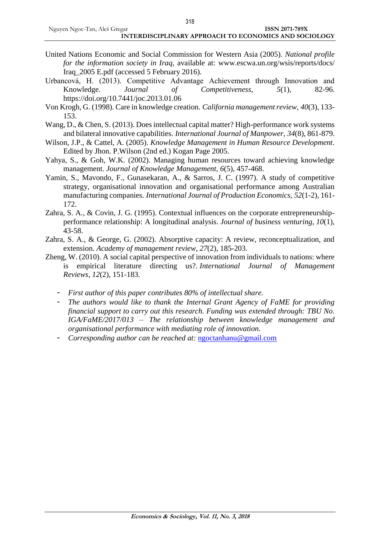- United Nations Economic and Social Commission for Western Asia (2005). *National profile for the information society in Iraq*, available at: www.escwa.un.org/wsis/reports/docs/ Iraq\_2005 E.pdf (accessed 5 February 2016).
- Urbancová, H. (2013). Competitive Advantage Achievement through Innovation and Knowledge. *Journal of Competitiveness*, *5*(1), 82-96. https://doi.org/10.7441/joc.2013.01.06
- Von Krogh, G. (1998). Care in knowledge creation. *California management review*, *40*(3), 133- 153.
- Wang, D., & Chen, S. (2013). Does intellectual capital matter? High-performance work systems and bilateral innovative capabilities. *International Journal of Manpower*, *34*(8), 861-879.
- Wilson, J.P., & Cattel, A. (2005). *Knowledge Management in Human Resource Development*. Edited by Jhon. P.Wilson (2nd ed.) Kogan Page 2005.
- Yahya, S., & Goh, W.K. (2002). Managing human resources toward achieving knowledge management. *Journal of Knowledge Management*, *6*(5), 457-468.
- Yamin, S., Mavondo, F., Gunasekaran, A., & Sarros, J. C. (1997). A study of competitive strategy, organisational innovation and organisational performance among Australian manufacturing companies. *International Journal of Production Economics*, *52*(1-2), 161- 172.
- Zahra, S. A., & Covin, J. G. (1995). Contextual influences on the corporate entrepreneurshipperformance relationship: A longitudinal analysis. *Journal of business venturing*, *10*(1), 43-58.
- Zahra, S. A., & George, G. (2002). Absorptive capacity: A review, reconceptualization, and extension. *Academy of management review*, *27*(2), 185-203.
- Zheng, W. (2010). A social capital perspective of innovation from individuals to nations: where is empirical literature directing us?. *International Journal of Management Reviews*, *12*(2), 151-183.
	- *First author of this paper contributes 80% of intellectual share.*
	- *The authors would like to thank the Internal Grant Agency of FaME for providing financial support to carry out this research. Funding was extended through: TBU No. IGA/FaME/2017/013 – The relationship between knowledge management and organisational performance with mediating role of innovation.*
	- *Corresponding author can be reached at:* [ngoctanhanu@gmail.com](mailto:ngoctanhanu@gmail.com)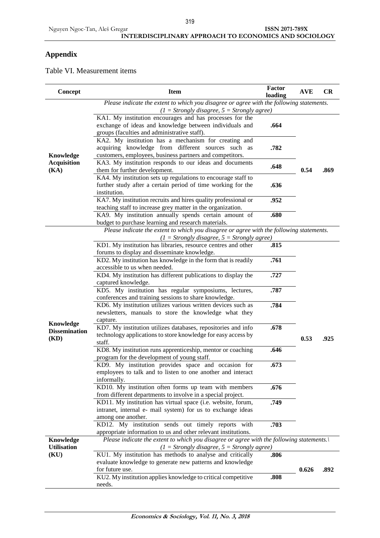#### Nguyen Ngoc-Tan, Aleš Gregar **ISSN 2071-789X INTERDISCIPLINARY APPROACH TO ECONOMICS AND SOCIOLOGY**

## **Appendix**

Table VI. Measurement items

| Concept                                   | <b>Item</b>                                                                                                                                                            | <b>Factor</b><br>loading | <b>AVE</b> | <b>CR</b> |
|-------------------------------------------|------------------------------------------------------------------------------------------------------------------------------------------------------------------------|--------------------------|------------|-----------|
|                                           | Please indicate the extent to which you disagree or agree with the following statements.<br>$(1 = Strongly disagree, 5 = Strongly agree)$                              |                          |            |           |
|                                           | KA1. My institution encourages and has processes for the<br>exchange of ideas and knowledge between individuals and<br>groups (faculties and administrative staff).    | .664                     |            |           |
| Knowledge                                 | KA2. My institution has a mechanism for creating and<br>acquiring knowledge from different sources such as<br>customers, employees, business partners and competitors. | .782                     |            |           |
| <b>Acquisition</b><br>(KA)                | KA3. My institution responds to our ideas and documents<br>them for further development.                                                                               | .648                     | 0.54       | .869      |
|                                           | KA4. My institution sets up regulations to encourage staff to<br>further study after a certain period of time working for the<br>institution.                          | .636                     |            |           |
|                                           | KA7. My institution recruits and hires quality professional or<br>teaching staff to increase grey matter in the organization.                                          | .952                     |            |           |
|                                           | KA9. My institution annually spends certain amount of<br>budget to purchase learning and research materials.                                                           | .680                     |            |           |
|                                           | Please indicate the extent to which you disagree or agree with the following statements.                                                                               |                          |            |           |
|                                           | $(1 = Strongly disagree, 5 = Strongly agree)$<br>KD1. My institution has libraries, resource centres and other<br>forums to display and disseminate knowledge.         | .815                     |            |           |
|                                           | KD2. My institution has knowledge in the form that is readily<br>accessible to us when needed.                                                                         | .761                     |            |           |
|                                           | KD4. My institution has different publications to display the<br>captured knowledge.                                                                                   | .727                     |            |           |
|                                           | KD5. My institution has regular symposiums, lectures,<br>conferences and training sessions to share knowledge.                                                         | .787                     |            |           |
|                                           | KD6. My institution utilizes various written devices such as<br>newsletters, manuals to store the knowledge what they<br>capture.                                      | .784                     |            |           |
| Knowledge<br><b>Dissemination</b><br>(KD) | KD7. My institution utilizes databases, repositories and info<br>technology applications to store knowledge for easy access by<br>staff.                               | .678                     | 0.53       | .925      |
|                                           | KD8. My institution runs apprenticeship, mentor or coaching<br>program for the development of young staff.                                                             | .646                     |            |           |
|                                           | KD9. My institution provides space and occasion for<br>employees to talk and to listen to one another and interact<br>informally.                                      | .673                     |            |           |
|                                           | KD10. My institution often forms up team with members<br>from different departments to involve in a special project.                                                   | .676                     |            |           |
|                                           | KD11. My institution has virtual space (i.e. website, forum,<br>intranet, internal e- mail system) for us to exchange ideas<br>among one another.                      | .749                     |            |           |
|                                           | KD12. My institution sends out timely reports with<br>appropriate information to us and other relevant institutions.                                                   | .703                     |            |           |
| <b>Knowledge</b><br><b>Utilisation</b>    | Please indicate the extent to which you disagree or agree with the following statements.<br>$(1 = Strongly disagree, 5 = Strongly agree)$                              |                          |            |           |
| (KU)                                      | KU1. My institution has methods to analyse and critically                                                                                                              | .806                     |            |           |
|                                           | evaluate knowledge to generate new patterns and knowledge<br>for future use.                                                                                           |                          | 0.626      | .892      |
|                                           | KU2. My institution applies knowledge to critical competitive<br>needs.                                                                                                | .808                     |            |           |